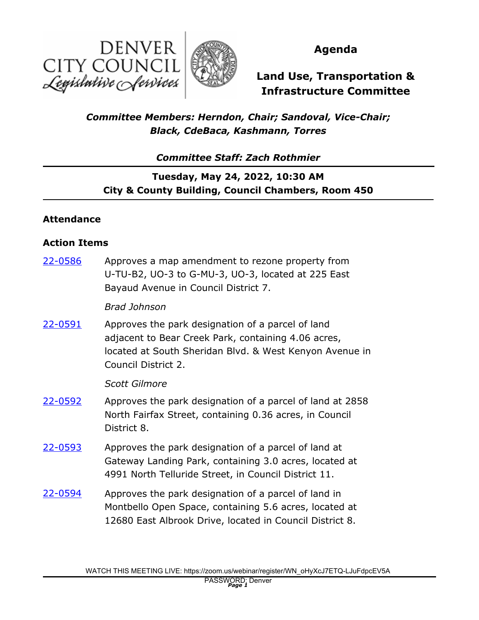



### **Agenda**

# **Land Use, Transportation & Infrastructure Committee**

### *Committee Members: Herndon, Chair; Sandoval, Vice-Chair; Black, CdeBaca, Kashmann, Torres*

*Committee Staff: Zach Rothmier*

## **Tuesday, May 24, 2022, 10:30 AM City & County Building, Council Chambers, Room 450**

### **Attendance**

#### **Action Items**

Approves a map amendment to rezone property from U-TU-B2, UO-3 to G-MU-3, UO-3, located at 225 East Bayaud Avenue in Council District 7. [22-0586](http://denver.legistar.com/gateway.aspx?m=l&id=/matter.aspx?key=21653) *Brad Johnson* Approves the park designation of a parcel of land adjacent to Bear Creek Park, containing 4.06 acres, located at South Sheridan Blvd. & West Kenyon Avenue in Council District 2. [22-0591](http://denver.legistar.com/gateway.aspx?m=l&id=/matter.aspx?key=21658) *Scott Gilmore* Approves the park designation of a parcel of land at 2858 North Fairfax Street, containing 0.36 acres, in Council District 8. [22-0592](http://denver.legistar.com/gateway.aspx?m=l&id=/matter.aspx?key=21659) Approves the park designation of a parcel of land at Gateway Landing Park, containing 3.0 acres, located at 4991 North Telluride Street, in Council District 11. [22-0593](http://denver.legistar.com/gateway.aspx?m=l&id=/matter.aspx?key=21660) Approves the park designation of a parcel of land in Montbello Open Space, containing 5.6 acres, located at 12680 East Albrook Drive, located in Council District 8. [22-0594](http://denver.legistar.com/gateway.aspx?m=l&id=/matter.aspx?key=21661)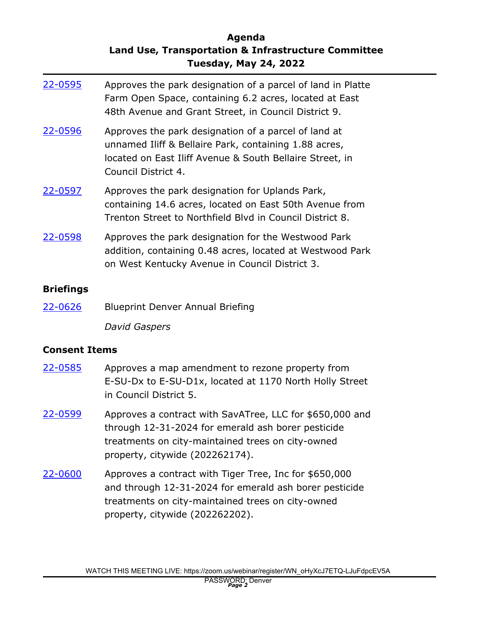### **Agenda Land Use, Transportation & Infrastructure Committee Tuesday, May 24, 2022**

| 22-0595 | Approves the park designation of a parcel of land in Platte<br>Farm Open Space, containing 6.2 acres, located at East<br>48th Avenue and Grant Street, in Council District 9.                    |
|---------|--------------------------------------------------------------------------------------------------------------------------------------------------------------------------------------------------|
| 22-0596 | Approves the park designation of a parcel of land at<br>unnamed Iliff & Bellaire Park, containing 1.88 acres,<br>located on East Iliff Avenue & South Bellaire Street, in<br>Council District 4. |
| 22-0597 | Approves the park designation for Uplands Park,<br>containing 14.6 acres, located on East 50th Avenue from<br>Trenton Street to Northfield Blyd in Council District 8.                           |
| 22-0598 | Approves the park designation for the Westwood Park<br>addition, containing 0.48 acres, located at Westwood Park<br>on West Kentucky Avenue in Council District 3.                               |

#### **Briefings**

[22-0626](http://denver.legistar.com/gateway.aspx?m=l&id=/matter.aspx?key=21693) Blueprint Denver Annual Briefing

*David Gaspers*

#### **Consent Items**

- Approves a map amendment to rezone property from E-SU-Dx to E-SU-D1x, located at 1170 North Holly Street in Council District 5. [22-0585](http://denver.legistar.com/gateway.aspx?m=l&id=/matter.aspx?key=21652)
- Approves a contract with SavATree, LLC for \$650,000 and through 12-31-2024 for emerald ash borer pesticide treatments on city-maintained trees on city-owned property, citywide (202262174). [22-0599](http://denver.legistar.com/gateway.aspx?m=l&id=/matter.aspx?key=21666)
- Approves a contract with Tiger Tree, Inc for \$650,000 and through 12-31-2024 for emerald ash borer pesticide treatments on city-maintained trees on city-owned property, citywide (202262202). [22-0600](http://denver.legistar.com/gateway.aspx?m=l&id=/matter.aspx?key=21667)